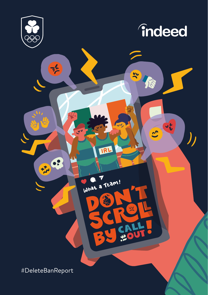



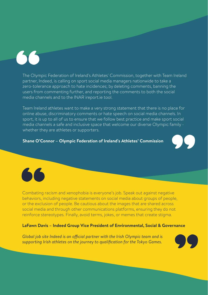

The Olympic Federation of Ireland's Athletes' Commission, together with Team Ireland partner, Indeed, is calling on sport social media managers nationwide to take a zero-tolerance approach to hate incidences; by deleting comments, banning the users from commenting further, and reporting the comments to both the social media channels and to the INAR ireport.ie tool.

Team Ireland athletes want to make a very strong statement that there is no place for online abuse, discriminatory comments or hate speech on social media channels. In sport, it is up to all of us to ensure that we follow best practice and make sport social media channels a safe and inclusive space that welcome our diverse Olympic family whether they are athletes or supporters.

#### **Shane O'Connor – Olympic Federation of Ireland's Athletes' Commission**





Combating racism and xenophobia is everyone's job. Speak out against negative behaviors, including negative statements on social media about groups of people, or the exclusion of people. Be cautious about the images that are shared across social media and through other communications platforms, ensuring they do not reinforce stereotypes. Finally, avoid terms, jokes, or memes that create stigma.

#### **LaFawn Davis – Indeed Group Vice President of Environmental, Social & Governance**

*Global job site Indeed is an official partner with the Irish Olympic team and is supporting Irish athletes on the journey to qualification for the Tokyo Games.*

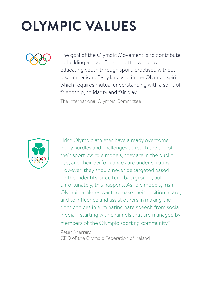# **OLYMPIC VALUES**



The goal of the Olympic Movement is to contribute to building a peaceful and better world by educating youth through sport, practised without discrimination of any kind and in the Olympic spirit, which requires mutual understanding with a spirit of friendship, solidarity and fair play.

The International Olympic Committee



"Irish Olympic athletes have already overcome many hurdles and challenges to reach the top of their sport. As role models, they are in the public eye, and their performances are under scrutiny. However, they should never be targeted based on their identity or cultural background, but unfortunately, this happens. As role models, Irish Olympic athletes want to make their position heard, and to influence and assist others in making the right choices in eliminating hate speech from social media – starting with channels that are managed by members of the Olympic sporting community."

Peter Sherrard CEO of the Olympic Federation of Ireland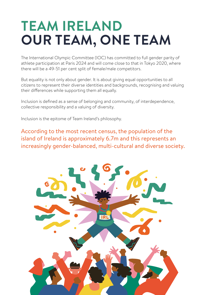## **TEAM IRELAND OUR TEAM, ONE TEAM**

The International Olympic Committee (IOC) has committed to full gender parity of athlete participation at Paris 2024 and will come close to that in Tokyo 2020, where there will be a 49-51 per cent split of female/male competitors.

But equality is not only about gender. It is about giving equal opportunities to all citizens to represent their diverse identities and backgrounds, recognising and valuing their differences while supporting them all equally.

Inclusion is defined as a sense of belonging and community, of interdependence, collective responsibility and a valuing of diversity.

Inclusion is the epitome of Team Ireland's philosophy.

According to the most recent census, the population of the island of Ireland is approximately 6.7m and this represents an increasingly gender-balanced, multi-cultural and diverse society.

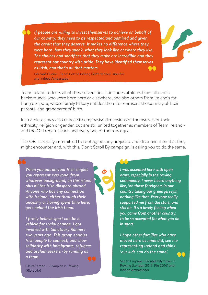*If people are willing to invest themselves to achieve on behalf of our country, they need to be respected and admired and given the credit that they deserve. It makes no difference where they were born, how they speak, what they look like or where they live.*  The choices and sacrifices that they make are incredible and they represent our country with pride. They have identified themselves as Irish, and that's all that matters. *represent our country with pride. They have identified themselves as Irish, and that's all that matters.*

Bernard Dunne – Team Ireland Boxing Performance Director and Indeed Ambassador

Team Ireland reflects all of these diversities. It includes athletes from all ethnic backgrounds, who were born here or elsewhere, and also others from Ireland's farflung diaspora, whose family history entitles them to represent the country of their parents' and grandparents' birth.

Irish athletes may also choose to emphasise dimensions of themselves or their ethnicity, religion or gender, but are still united together as members of Team Ireland and the OFI regards each and every one of them as equal.

The OFI is equally committed to rooting out any prejudice and discrimination that they might encounter and, with this, Don't Scroll By campaign, is asking you to do the same.

**"** 

*When you put on your Irish singlet you represent everyone, from whatever background, on this island, plus all the Irish diaspora abroad. Anyone who has any connection with Ireland, either through their ancestry or having spent time here, gets behind the Irish team.*  When you put on your Irish singlet<br>
you represent everyone, from<br>
where the background, on this island,<br>
alumnative distribution of the state of the little

*I firmly believe sport can be a vehicle for social change. I got involved with Sanctuary Runners two years ago. This group enables Irish people to connect, and show solidarity with immigrants, refugees and asylum seekers -by running as a team.*

Claire Lambe – Olympian in Rowing (Rio 2016)

*I was accepted here with open arms, especially in the rowing community. I never heard anything like, 'oh those foreigners in our country taking our green jerseys', nothing like that. Everyone really supported me from the start, and still do. It's a lovely feeling when you come from another country, to be so accepted for what you do in sport.*

*I hope other families who have moved here as mine did, see me representing Ireland and think,*<br>
sour kids can do the same?<br>
Santa Pusaura, Dauble Olympian in *'our kids can do the same'.* 

Sanita Puspure – Double Olympian in Rowing (London 2012, Rio 2016) and Indeed Ambassador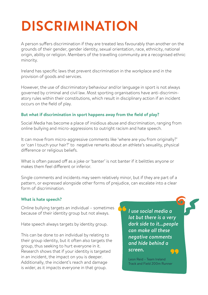# **DISCRIMINATION**

A person suffers discrimination if they are treated less favourably than another on the grounds of their gender, gender identity, sexual orientation, race, ethnicity, national origin, ability or religion. Members of the travelling community are a recognised ethnic minority.

Ireland has specific laws that prevent discrimination in the workplace and in the provision of goods and services.

However, the use of discriminatory behaviour and/or language in sport is not always governed by criminal and civil law. Most sporting organisations have anti-discriminatory rules within their constitutions, which result in disciplinary action if an incident occurs on the field of play.

### **But what if discrimination in sport happens away from the field of play?**

Social Media has become a place of insidious abuse and discrimination, ranging from online bullying and micro-aggressions to outright racism and hate speech.

It can move from micro-aggressive comments like 'where are you from originally?' or 'can I touch your hair?' to negative remarks about an athlete's sexuality, physical difference or religious beliefs.

What is often passed off as a joke or 'banter' is not banter if it belittles anyone or makes them feel different or inferior.

Single comments and incidents may seem relatively minor, but if they are part of a pattern, or expressed alongside other forms of prejudice, can escalate into a clear form of discrimination.

**"** 

#### **What is hate speech?**

Online bullying targets an individual – sometimes because of their identity group but not always.

Hate speech always targets by identity group.

This can be done to an individual by relating to their group identity, but it often also targets the group, thus seeking to hurt everyone in it. Research shows that if your identity is targeted in an incident, the impact on you is deeper. Additionally, the incident's reach and damage is wider, as it impacts everyone in that group.

*I use social media a lot but there is a very dark side to it...people can make all these negative comments and hide behind a screen.* 99

Leon Reid – Team Ireland Track and Field 200m Runner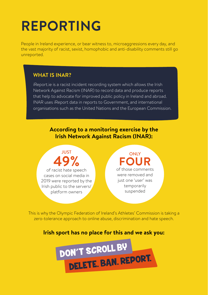# **REPORTING**

People in Ireland experience, or bear witness to, microaggressions every day, and the vast majority of racist, sexist, homophobic and anti-disability comments still go unreported.

### **WHAT IS INAR?**

iReport.ie is a racist incident recording system which allows the Irish Network Against Racism (INAR) to record data and produce reports that help to advocate for improved public policy in Ireland and abroad. INAR uses iReport data in reports to Government, and international organisations such as the United Nations and the European Commission.

### **According to a monitoring exercise by the Irish Network Against Racism (INAR):**

**JUST 49%** of racist hate speech

cases on social media in 2019 were reported by the Irish public to the servers/ platform owners

### **ONLY FOUR** of those comments were removed and

just one 'user' was temporarily suspended

This is why the Olympic Federation of Ireland's Athletes' Commission is taking a zero-tolerance approach to online abuse, discrimination and hate speech.

### **Irish sport has no place for this and we ask you:**

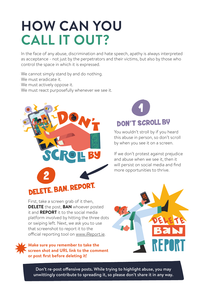## **HOW CAN YOU CALL IT OUT?**

In the face of any abuse, discrimination and hate speech, apathy is always interpreted as acceptance - not just by the perpetrators and their victims, but also by those who control the space in which it is expressed.

We cannot simply stand by and do nothing. We must eradicate it. We must actively oppose it. We must react purposefully whenever we see it.





You wouldn't stroll by if you heard this abuse in person, so don't scroll by when you see it on a screen.

If we don't protest against prejudice and abuse when we see it, then it will persist on social media and find more opportunities to thrive.

First, take a screen grab of it then, **DELETE** the post, **BAN** whoever posted it and **REPORT** it to the social media platform involved by hitting the three dots or swiping left. Next, we ask you to use that screenshot to report it to the official reporting tool on www.iReport.ie.

**Make sure you remember to take the screen shot and URL link to the comment or post first before deleting it!** \*



Don't re-post offensive posts. While trying to highlight abuse, you may unwittingly contribute to spreading it, so please don't share it in any way.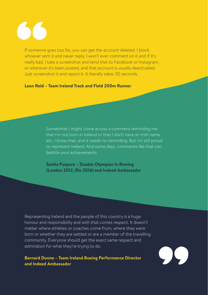

If someone goes too far, you can get the account deleted. I block whoever sent it and never reply. I won't ever comment on it and if it's really bad, I take a screenshot and send that to Facebook or Instagram, or wherever it's been posted, and that account is usually deactivated. Just screenshot it and report it. It literally takes 30 seconds.

**Leon Reid – Team Ireland Track and Field 200m Runner**

Sometimes I might come across a comment reminding me that I'm not born in Ireland or that I don't have an Irish name etc, I know that, and it needs no reminding. But I'm still proud to represent Ireland. And some days, comments like that can belittle your achievements.

**Sanita Puspure – Double Olympian in Rowing (London 2012, Rio 2016) and Indeed Ambassador**

Representing Ireland and the people of this country is a huge honour and responsibility and with that comes respect. It doesn't matter where athletes or coaches come from, where they were born or whether they are settled or are a member of the travelling community. Everyone should get the exact same respect and admiration for what they're trying to do.

**Bernard Dunne – Team Ireland Boxing Performance Director and Indeed Ambassador**